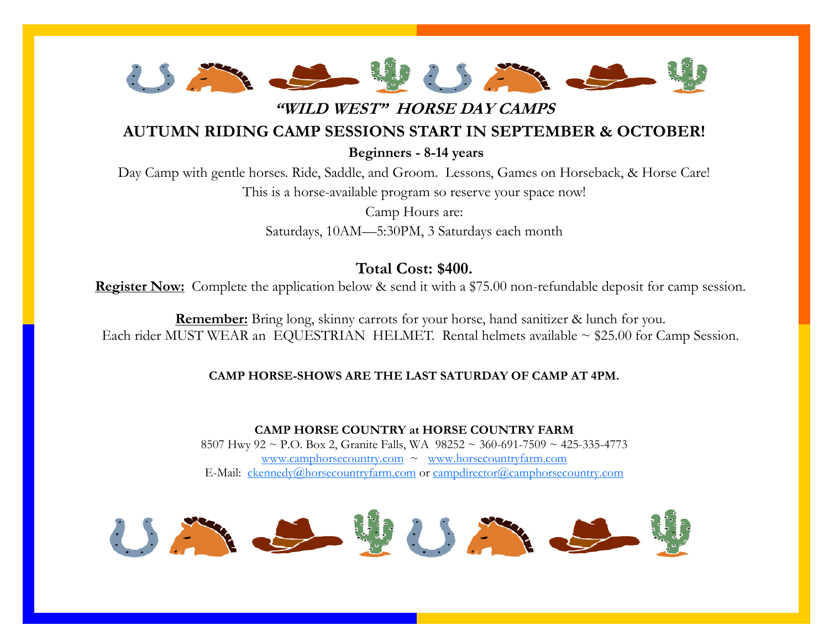

**"WILD WEST" HORSE DAY CAMPS**

## **AUTUMN RIDING CAMP SESSIONS START IN SEPTEMBER & OCTOBER!**

**Beginners - 8-14 years**

Day Camp with gentle horses. Ride, Saddle, and Groom. Lessons, Games on Horseback, & Horse Care! This is a horse-available program so reserve your space now!

> Camp Hours are: Saturdays, 10AM—5:30PM, 3 Saturdays each month

# **Total Cost: \$400.**

**Register Now:** Complete the application below & send it with a \$75.00 non-refundable deposit for camp session.

**Remember:** Bring long, skinny carrots for your horse, hand sanitizer & lunch for you. Each rider MUST WEAR an EQUESTRIAN HELMET. Rental helmets available  $\sim$  \$25.00 for Camp Session.

### **CAMP HORSE-SHOWS ARE THE LAST SATURDAY OF CAMP AT 4PM.**

**CAMP HORSE COUNTRY at HORSE COUNTRY FARM** 8507 Hwy 92 ~ P.O. Box 2, Granite Falls, WA 98252 ~ 360-691-7509 ~ 425-335-4773 [www.camphorsecountry.com](http://www.camphorsecountry.com) ~ [www.horsecountryfarm.com](http://www.horsecountryfarm.com)  E-Mail: [ckennedy@horsecountryfarm.com](mailto:ckennedy@horsecountryfarm.com) or [campdirector@camphorsecountry.com](mailto:campdirector@camphorsecountry.com)